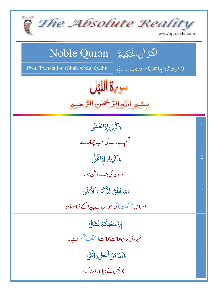| The Absolute Reality<br>www.quran4u.com                                                                                  |            |
|--------------------------------------------------------------------------------------------------------------------------|------------|
| الْقُرْآنِ الْحَكِيمُ ِ Noble Quran<br>Urdu Translation (Shah Abdul Qadir)<br>(حضرت شاه عبد القادر) اردوتر جمه بمعه عربي |            |
| سورة الليل<br>بسمير اللآوالرَّحْمَنِ الرَّحِ                                                                             |            |
| وَٱلَّيۡلِ إِذَا يَغۡشَىٰ                                                                                                | $\cdot$ 1  |
| قشم ہے رات کی جب چھاجائے،                                                                                                |            |
| وَٱلنَّهَايِ إِذَائَجَلَّىٰ                                                                                              | $\cdot$ .2 |
| اور دن کی جب روش ہو،                                                                                                     |            |
| دَمَا خَلَقَ ٱلذَّكَرَ وَٱلۡكُّنْثَىٰٓ                                                                                   | .3         |
| اور اس (حکمت) کی جواس نے پیدا کئے نر اور مادہ۔                                                                           |            |
| إِنَّ سَعَيَكُمُ لَشَتَّىٰ                                                                                               | .4         |
| تمہاری کمائی بھانت بھانت (مخلّف قشم ) ہے۔                                                                                |            |
| فَأَمَّامَنۡ أَعۡطَىٰ وَٱتَّقَىٰ                                                                                         | .5         |
| جو جس نے دیااور ڈر رکھا،                                                                                                 |            |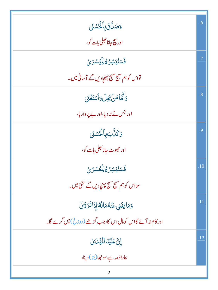| <b>وَصَلَّقَ بِأَلْحُ</b> سُنَى                            | .6  |
|------------------------------------------------------------|-----|
| اور پیچ جانانجلی بات کو ،                                  |     |
| فَسَنُّيَسِّرُهُ لِلَّيُسْرَىٰ                             | .7  |
| تواس کو ہم سہج سہج پہنچادیں گے آسانی میں۔                  |     |
| وَأَمَّاهَنْ بَخِلَ وَأَسْتَغَنَى                          | .8  |
| اور جس نے نہ دیا،اور بے پر وار ہا،                         |     |
| <b>وَكَنَّبَ بِٱلْحُسْنَىٰ</b>                             | .9  |
| اور حج <i>م</i> وٹ جانا بھلی بات کو،                       |     |
| فَسَنُّيَسِّرُ وَلِلَّعُسَّرَ يَ                           | .10 |
| سواس کو ہم مسہج سہج پہنچادیں گے سخ <b>تی می</b> ں۔         |     |
| وَمَايُغُنِى عَنْهُمَالُهُٓ إِذَاتَرَدَّىٰ                 | .11 |
| اور کام نہ آئے گااس کومال اس کا،جب گڑھے ( دوزخ)میں گرے گا۔ |     |
| إِنَّ عَلَيْنَا لِلَّهْلَىٰ إِنَّ                          | .12 |
| ہماراذ مہ ہے سوحجا( پتا) دینا،                             |     |
|                                                            |     |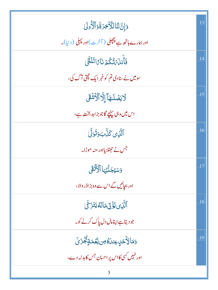| <u>وَإِنَّ لَنَا لِلْأَخِرَةَ وَ</u> الْأُولَىٰ                   | .13 |
|-------------------------------------------------------------------|-----|
| اور ہمارے ہاتھ ہے پچچلی ( آخرت)اور پہلی ( دنیا)۔                  |     |
| فَأَنِدَىٰ تُكُّهُ نَارًا تَلَظَّىٰ                               | .14 |
| سومیں نے سادی تم کوخبر ایک تپتی آگ کی،                            |     |
| لَايَصۡلَاهَآ إِلَّآ ٱلۡأَشۡقَى                                   | .15 |
| اس میں وہی پہنچے گاجو بڑابدبخت ہے،                                |     |
| ٱلَّٰٓڹِی کَنَّبَ وَتَوَلَّی                                      | .16 |
| جس نے حجٹلا پااور منہ موڑا۔                                       |     |
| وَسَيُجَنَّبُهَا ٱلْأَثَّقَى                                      | .17 |
| اور بجائیں گے اس سے وہ بڑ اڈر والا،                               |     |
| ٱلَّذِى يُؤَتِّىَ مَالَّهُ يَتَزَكَّىٰ                            | .18 |
| جو دیتاہےاپنامال دل پاک کرنے کو۔                                  |     |
| <u>و</u> َمَالِأُحَلِ عِند <i>اَ</i> ّهُ مِن نِّعۡمَةٍ ثُجَّرَىٰٓ | .19 |
| اور نہیں کسی کااس پر احسان جس کابدلہ دے،                          |     |
|                                                                   |     |